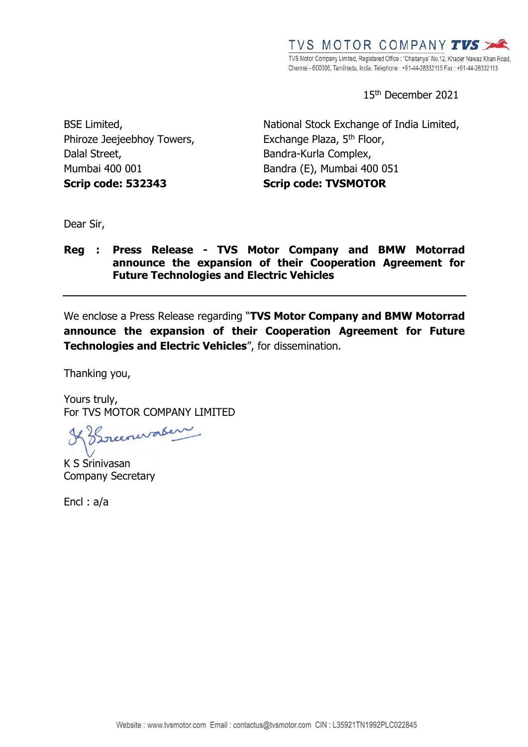15 th December 2021

BSE Limited, Phiroze Jeejeebhoy Towers, Dalal Street, Mumbai 400 001 **Scrip code: 532343**

National Stock Exchange of India Limited, Exchange Plaza, 5<sup>th</sup> Floor, Bandra-Kurla Complex, Bandra (E), Mumbai 400 051 **Scrip code: TVSMOTOR**

Dear Sir,

### **Reg : Press Release - TVS Motor Company and BMW Motorrad announce the expansion of their Cooperation Agreement for Future Technologies and Electric Vehicles**

We enclose a Press Release regarding "**TVS Motor Company and BMW Motorrad announce the expansion of their Cooperation Agreement for Future Technologies and Electric Vehicles**", for dissemination.

Thanking you,

Yours truly, For TVS MOTOR COMPANY LIMITED

Kreenwater

K S Srinivasan Company Secretary

Encl : a/a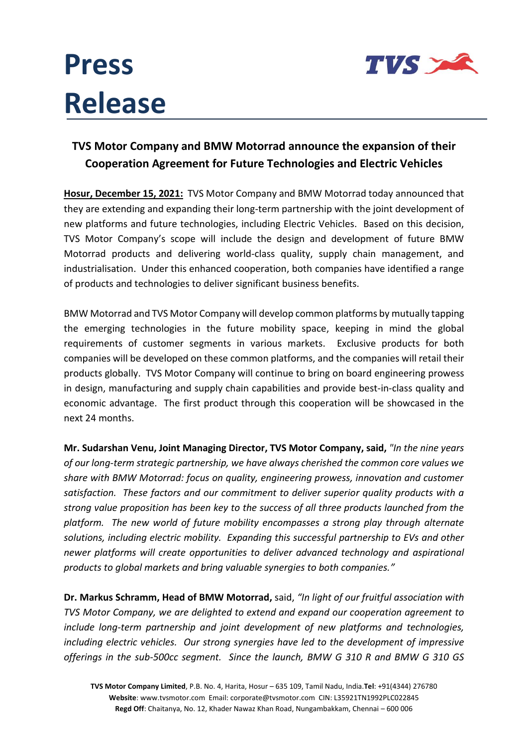# **Press Release**



### **TVS Motor Company and BMW Motorrad announce the expansion of their Cooperation Agreement for Future Technologies and Electric Vehicles**

**Hosur, December 15, 2021:** TVS Motor Company and BMW Motorrad today announced that they are extending and expanding their long-term partnership with the joint development of new platforms and future technologies, including Electric Vehicles. Based on this decision, TVS Motor Company's scope will include the design and development of future BMW Motorrad products and delivering world-class quality, supply chain management, and industrialisation. Under this enhanced cooperation, both companies have identified a range of products and technologies to deliver significant business benefits.

BMW Motorrad and TVS Motor Company will develop common platforms by mutually tapping the emerging technologies in the future mobility space, keeping in mind the global requirements of customer segments in various markets. Exclusive products for both companies will be developed on these common platforms, and the companies will retail their products globally. TVS Motor Company will continue to bring on board engineering prowess in design, manufacturing and supply chain capabilities and provide best-in-class quality and economic advantage. The first product through this cooperation will be showcased in the next 24 months.

**Mr. Sudarshan Venu, Joint Managing Director, TVS Motor Company, said,** *"In the nine years of our long-term strategic partnership, we have always cherished the common core values we share with BMW Motorrad: focus on quality, engineering prowess, innovation and customer satisfaction. These factors and our commitment to deliver superior quality products with a strong value proposition has been key to the success of all three products launched from the platform. The new world of future mobility encompasses a strong play through alternate solutions, including electric mobility. Expanding this successful partnership to EVs and other newer platforms will create opportunities to deliver advanced technology and aspirational products to global markets and bring valuable synergies to both companies."*

**Dr. Markus Schramm, Head of BMW Motorrad,** said, *"In light of our fruitful association with TVS Motor Company, we are delighted to extend and expand our cooperation agreement to include long-term partnership and joint development of new platforms and technologies, including electric vehicles. Our strong synergies have led to the development of impressive offerings in the sub-500cc segment. Since the launch, BMW G 310 R and BMW G 310 GS*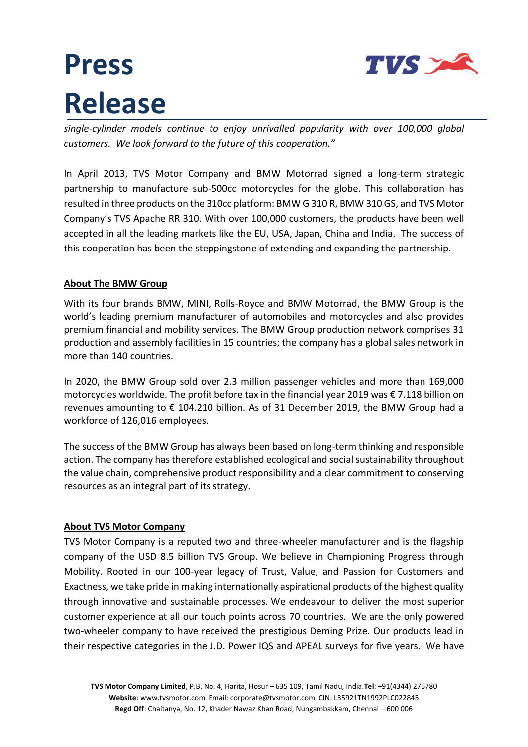

## **Press Release**

*single-cylinder models continue to enjoy unrivalled popularity with over 100,000 global customers. We look forward to the future of this cooperation."*

In April 2013, TVS Motor Company and BMW Motorrad signed a long-term strategic partnership to manufacture sub-500cc motorcycles for the globe. This collaboration has resulted in three products on the 310cc platform: BMW G 310 R, BMW 310 GS, and TVS Motor Company's TVS Apache RR 310. With over 100,000 customers, the products have been well accepted in all the leading markets like the EU, USA, Japan, China and India. The success of this cooperation has been the steppingstone of extending and expanding the partnership.

### **About The BMW Group**

With its four brands BMW, MINI, Rolls-Royce and BMW Motorrad, the BMW Group is the world's leading premium manufacturer of automobiles and motorcycles and also provides premium financial and mobility services. The BMW Group production network comprises 31 production and assembly facilities in 15 countries; the company has a global sales network in more than 140 countries.

In 2020, the BMW Group sold over 2.3 million passenger vehicles and more than 169,000 motorcycles worldwide. The profit before tax in the financial year 2019 was € 7.118 billion on revenues amounting to  $\epsilon$  104.210 billion. As of 31 December 2019, the BMW Group had a workforce of 126,016 employees.

The success of the BMW Group has always been based on long-term thinking and responsible action. The company has therefore established ecological and social sustainability throughout the value chain, comprehensive product responsibility and a clear commitment to conserving resources as an integral part of its strategy.

#### **About TVS Motor Company**

TVS Motor Company is a reputed two and three-wheeler manufacturer and is the flagship company of the USD 8.5 billion TVS Group. We believe in Championing Progress through Mobility. Rooted in our 100-year legacy of Trust, Value, and Passion for Customers and Exactness, we take pride in making internationally aspirational products of the highest quality through innovative and sustainable processes. We endeavour to deliver the most superior customer experience at all our touch points across 70 countries. We are the only powered two-wheeler company to have received the prestigious Deming Prize. Our products lead in their respective categories in the J.D. Power IQS and APEAL surveys for five years. We have